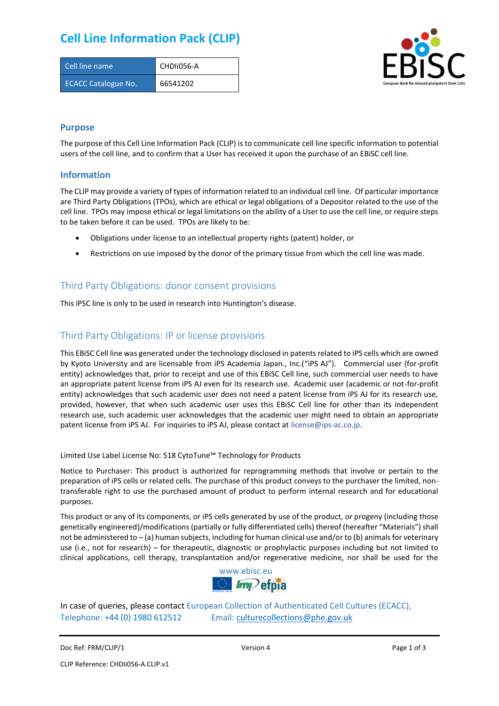## **Cell Line Information Pack (CLIP)**

| Cell line name             | CHDII056-A |
|----------------------------|------------|
| <b>ECACC Catalogue No.</b> | 66541202   |



### **Purpose**

The purpose of this Cell Line Information Pack (CLIP) is to communicate cell line specific information to potential users of the cell line, and to confirm that a User has received it upon the purchase of an EBiSC cell line.

#### **Information**

The CLIP may provide a variety of types of information related to an individual cell line. Of particular importance are Third Party Obligations (TPOs), which are ethical or legal obligations of a Depositor related to the use of the cell line. TPOs may impose ethical or legal limitations on the ability of a User to use the cell line, or require steps to be taken before it can be used. TPOs are likely to be:

- Obligations under license to an intellectual property rights (patent) holder, or
- Restrictions on use imposed by the donor of the primary tissue from which the cell line was made.

### Third Party Obligations: donor consent provisions

This iPSC line is only to be used in research into Huntington's disease.

### Third Party Obligations: IP or license provisions

This EBiSC Cell line was generated under the technology disclosed in patents related to iPS cells which are owned by Kyoto University and are licensable from iPS Academia Japan., Inc.("iPS AJ"). Commercial user (for-profit entity) acknowledges that, prior to receipt and use of this EBiSC Cell line, such commercial user needs to have an appropriate patent license from iPS AJ even for its research use. Academic user (academic or not-for-profit entity) acknowledges that such academic user does not need a patent license from iPS AJ for its research use, provided, however, that when such academic user uses this EBiSC Cell line for other than its independent research use, such academic user acknowledges that the academic user might need to obtain an appropriate patent license from iPS AJ. For inquiries to iPS AJ, please contact at [license@ips-ac.co.jp.](mailto:license@ips-ac.co.jp)

Limited Use Label License No: 518 CytoTune™ Technology for Products

Notice to Purchaser: This product is authorized for reprogramming methods that involve or pertain to the preparation of iPS cells or related cells. The purchase of this product conveys to the purchaser the limited, nontransferable right to use the purchased amount of product to perform internal research and for educational purposes.

This product or any of its components, or iPS cells generated by use of the product, or progeny (including those genetically engineered)/modifications (partially or fully differentiated cells) thereof (hereafter "Materials") shall not be administered to – (a) human subjects, including for human clinical use and/or to (b) animals for veterinary use (i.e., not for research) – for therapeutic, diagnostic or prophylactic purposes including but not limited to clinical applications, cell therapy, transplantation and/or regenerative medicine, nor shall be used for the



In case of queries, please contact European Collection of Authenticated Cell Cultures (ECACC), Telephone: +44 (0) 1980 612512 Email: [culturecollections@phe.gov.uk](mailto:culturecollections@phe.gov.uk)

Doc Ref: FRM/CLIP/1 **Docessition 2** Page 1 of 3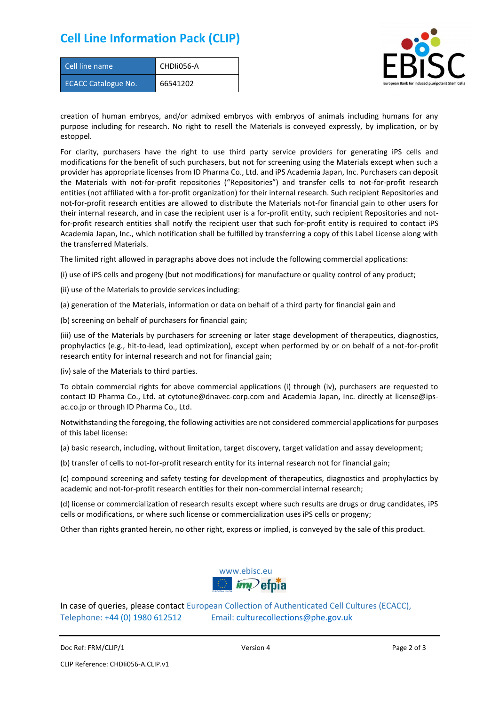### **Cell Line Information Pack (CLIP)**

| Cell line name             | CHDII056-A |
|----------------------------|------------|
| <b>ECACC Catalogue No.</b> | 66541202   |



creation of human embryos, and/or admixed embryos with embryos of animals including humans for any purpose including for research. No right to resell the Materials is conveyed expressly, by implication, or by estoppel.

For clarity, purchasers have the right to use third party service providers for generating iPS cells and modifications for the benefit of such purchasers, but not for screening using the Materials except when such a provider has appropriate licenses from ID Pharma Co., Ltd. and iPS Academia Japan, Inc. Purchasers can deposit the Materials with not-for-profit repositories ("Repositories") and transfer cells to not-for-profit research entities (not affiliated with a for-profit organization) for their internal research. Such recipient Repositories and not-for-profit research entities are allowed to distribute the Materials not-for financial gain to other users for their internal research, and in case the recipient user is a for-profit entity, such recipient Repositories and notfor-profit research entities shall notify the recipient user that such for-profit entity is required to contact iPS Academia Japan, Inc., which notification shall be fulfilled by transferring a copy of this Label License along with the transferred Materials.

The limited right allowed in paragraphs above does not include the following commercial applications:

(i) use of iPS cells and progeny (but not modifications) for manufacture or quality control of any product;

- (ii) use of the Materials to provide services including:
- (a) generation of the Materials, information or data on behalf of a third party for financial gain and

(b) screening on behalf of purchasers for financial gain;

(iii) use of the Materials by purchasers for screening or later stage development of therapeutics, diagnostics, prophylactics (e.g., hit-to-lead, lead optimization), except when performed by or on behalf of a not-for-profit research entity for internal research and not for financial gain;

(iv) sale of the Materials to third parties.

To obtain commercial rights for above commercial applications (i) through (iv), purchasers are requested to contact ID Pharma Co., Ltd. at cytotune@dnavec-corp.com and Academia Japan, Inc. directly at license@ipsac.co.jp or through ID Pharma Co., Ltd.

Notwithstanding the foregoing, the following activities are not considered commercial applications for purposes of this label license:

(a) basic research, including, without limitation, target discovery, target validation and assay development;

(b) transfer of cells to not-for-profit research entity for its internal research not for financial gain;

(c) compound screening and safety testing for development of therapeutics, diagnostics and prophylactics by academic and not-for-profit research entities for their non-commercial internal research;

(d) license or commercialization of research results except where such results are drugs or drug candidates, iPS cells or modifications, or where such license or commercialization uses iPS cells or progeny;

Other than rights granted herein, no other right, express or implied, is conveyed by the sale of this product.



In case of queries, please contact European Collection of Authenticated Cell Cultures (ECACC), Telephone: +44 (0) 1980 612512 Email: [culturecollections@phe.gov.uk](mailto:culturecollections@phe.gov.uk)